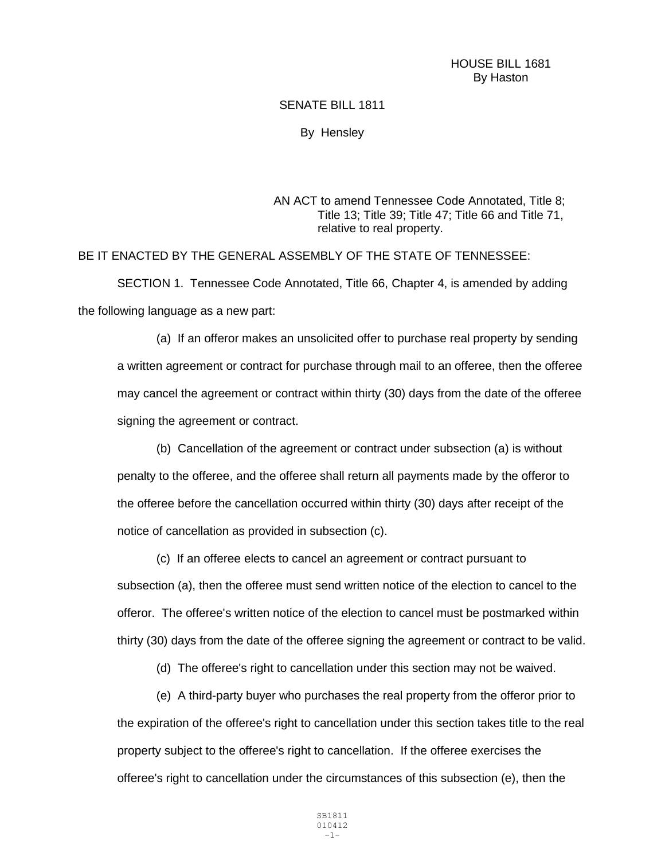HOUSE BILL 1681 By Haston

## SENATE BILL 1811

By Hensley

AN ACT to amend Tennessee Code Annotated, Title 8; Title 13; Title 39; Title 47; Title 66 and Title 71, relative to real property.

BE IT ENACTED BY THE GENERAL ASSEMBLY OF THE STATE OF TENNESSEE:

SECTION 1. Tennessee Code Annotated, Title 66, Chapter 4, is amended by adding the following language as a new part:

(a) If an offeror makes an unsolicited offer to purchase real property by sending a written agreement or contract for purchase through mail to an offeree, then the offeree may cancel the agreement or contract within thirty (30) days from the date of the offeree signing the agreement or contract.

(b) Cancellation of the agreement or contract under subsection (a) is without penalty to the offeree, and the offeree shall return all payments made by the offeror to the offeree before the cancellation occurred within thirty (30) days after receipt of the notice of cancellation as provided in subsection (c).

(c) If an offeree elects to cancel an agreement or contract pursuant to subsection (a), then the offeree must send written notice of the election to cancel to the offeror. The offeree's written notice of the election to cancel must be postmarked within thirty (30) days from the date of the offeree signing the agreement or contract to be valid.

(d) The offeree's right to cancellation under this section may not be waived.

(e) A third-party buyer who purchases the real property from the offeror prior to the expiration of the offeree's right to cancellation under this section takes title to the real property subject to the offeree's right to cancellation. If the offeree exercises the offeree's right to cancellation under the circumstances of this subsection (e), then the